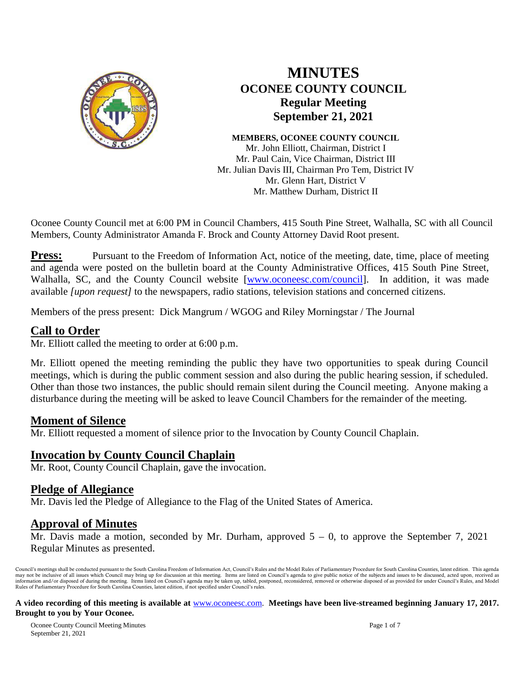

# **MINUTES OCONEE COUNTY COUNCIL Regular Meeting September 21, 2021**

**MEMBERS, OCONEE COUNTY COUNCIL** Mr. John Elliott, Chairman, District I Mr. Paul Cain, Vice Chairman, District III Mr. Julian Davis III, Chairman Pro Tem, District IV Mr. Glenn Hart, District V Mr. Matthew Durham, District II

Oconee County Council met at 6:00 PM in Council Chambers, 415 South Pine Street, Walhalla, SC with all Council Members, County Administrator Amanda F. Brock and County Attorney David Root present.

**Press:** Pursuant to the Freedom of Information Act, notice of the meeting, date, time, place of meeting and agenda were posted on the bulletin board at the County Administrative Offices, 415 South Pine Street, Walhalla, SC, and the County Council website [\[www.oconeesc.com/council\]](http://www.oconeesc.com/council). In addition, it was made available *[upon request]* to the newspapers, radio stations, television stations and concerned citizens.

Members of the press present: Dick Mangrum / WGOG and Riley Morningstar / The Journal

# **Call to Order**

Mr. Elliott called the meeting to order at 6:00 p.m.

Mr. Elliott opened the meeting reminding the public they have two opportunities to speak during Council meetings, which is during the public comment session and also during the public hearing session, if scheduled. Other than those two instances, the public should remain silent during the Council meeting. Anyone making a disturbance during the meeting will be asked to leave Council Chambers for the remainder of the meeting.

# **Moment of Silence**

Mr. Elliott requested a moment of silence prior to the Invocation by County Council Chaplain.

#### **Invocation by County Council Chaplain**

Mr. Root, County Council Chaplain, gave the invocation.

#### **Pledge of Allegiance**

Mr. Davis led the Pledge of Allegiance to the Flag of the United States of America.

#### **Approval of Minutes**

Mr. Davis made a motion, seconded by Mr. Durham, approved  $5 - 0$ , to approve the September 7, 2021 Regular Minutes as presented.

Council's meetings shall be conducted pursuant to the South Carolina Freedom of Information Act, Council's Rules and the Model Rules of Parliamentary Procedure for South Carolina Counties, latest edition. This agenda may not be inclusive of all issues which Council may bring up for discussion at this meeting. Items are listed on Council's agenda to give public notice of the subjects and issues to be discussed, acted upon, received as<br>i Rules of Parliamentary Procedure for South Carolina Counties, latest edition, if not specified under Council's rules.

#### **A video recording of this meeting is available at** [www.oconeesc.com.](http://www.oconeesc.com/) **Meetings have been live-streamed beginning January 17, 2017. Brought to you by Your Oconee.**

Oconee County Council Meeting Minutes Page 1 of 7 September 21, 2021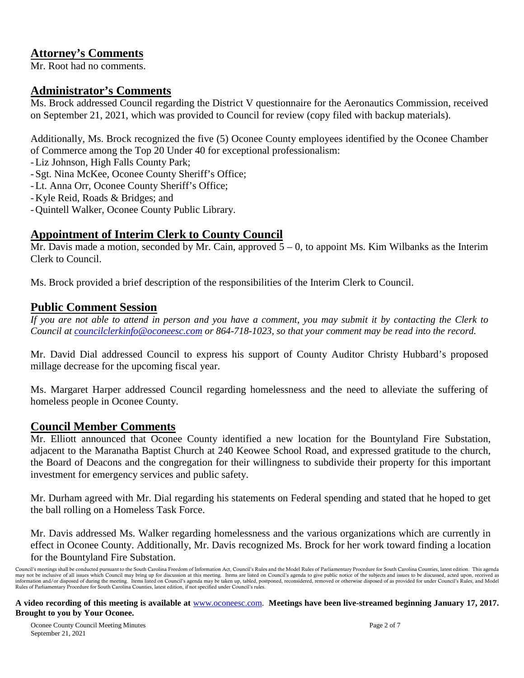# **Attorney's Comments**

Mr. Root had no comments.

# **Administrator's Comments**

Ms. Brock addressed Council regarding the District V questionnaire for the Aeronautics Commission, received on September 21, 2021, which was provided to Council for review (copy filed with backup materials).

Additionally, Ms. Brock recognized the five (5) Oconee County employees identified by the Oconee Chamber of Commerce among the Top 20 Under 40 for exceptional professionalism:

- -Liz Johnson, High Falls County Park;
- -Sgt. Nina McKee, Oconee County Sheriff's Office;
- -Lt. Anna Orr, Oconee County Sheriff's Office;
- -Kyle Reid, Roads & Bridges; and
- -Quintell Walker, Oconee County Public Library.

# **Appointment of Interim Clerk to County Council**

Mr. Davis made a motion, seconded by Mr. Cain, approved  $\overline{5} - 0$ , to appoint Ms. Kim Wilbanks as the Interim Clerk to Council.

Ms. Brock provided a brief description of the responsibilities of the Interim Clerk to Council.

## **Public Comment Session**

*If you are not able to attend in person and you have a comment, you may submit it by contacting the Clerk to Council at [councilclerkinfo@oconeesc.com](mailto:councilclerkinfo@oconeesc.com) or 864-718-1023, so that your comment may be read into the record.*

Mr. David Dial addressed Council to express his support of County Auditor Christy Hubbard's proposed millage decrease for the upcoming fiscal year.

Ms. Margaret Harper addressed Council regarding homelessness and the need to alleviate the suffering of homeless people in Oconee County.

#### **Council Member Comments**

Mr. Elliott announced that Oconee County identified a new location for the Bountyland Fire Substation, adjacent to the Maranatha Baptist Church at 240 Keowee School Road, and expressed gratitude to the church, the Board of Deacons and the congregation for their willingness to subdivide their property for this important investment for emergency services and public safety.

Mr. Durham agreed with Mr. Dial regarding his statements on Federal spending and stated that he hoped to get the ball rolling on a Homeless Task Force.

Mr. Davis addressed Ms. Walker regarding homelessness and the various organizations which are currently in effect in Oconee County. Additionally, Mr. Davis recognized Ms. Brock for her work toward finding a location for the Bountyland Fire Substation.

**A video recording of this meeting is available at** [www.oconeesc.com.](http://www.oconeesc.com/) **Meetings have been live-streamed beginning January 17, 2017. Brought to you by Your Oconee.**

Council's meetings shall be conducted pursuant to the South Carolina Freedom of Information Act, Council's Rules and the Model Rules of Parliamentary Procedure for South Carolina Counties, latest edition. This agenda may not be inclusive of all issues which Council may bring up for discussion at this meeting. Items are listed on Council's agenda to give public notice of the subjects and issues to be discussed, acted upon, received as<br>i Rules of Parliamentary Procedure for South Carolina Counties, latest edition, if not specified under Council's rules.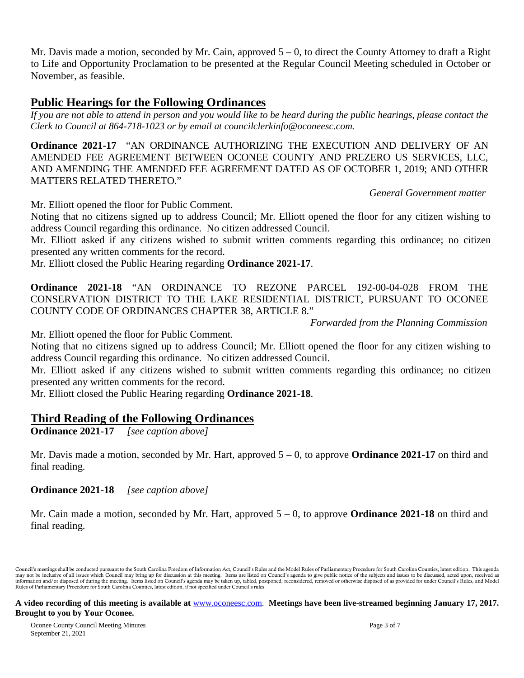Mr. Davis made a motion, seconded by Mr. Cain, approved  $5 - 0$ , to direct the County Attorney to draft a Right to Life and Opportunity Proclamation to be presented at the Regular Council Meeting scheduled in October or November, as feasible.

## **Public Hearings for the Following Ordinances**

*If you are not able to attend in person and you would like to be heard during the public hearings, please contact the Clerk to Council at 864-718-1023 or by email at [councilclerkinfo@oconeesc.com.](mailto:councilclerkinfo@oconeesc.com)*

**Ordinance 2021-17** "AN ORDINANCE AUTHORIZING THE EXECUTION AND DELIVERY OF AN AMENDED FEE AGREEMENT BETWEEN OCONEE COUNTY AND PREZERO US SERVICES, LLC, AND AMENDING THE AMENDED FEE AGREEMENT DATED AS OF OCTOBER 1, 2019; AND OTHER MATTERS RELATED THERETO."

*General Government matter*

Mr. Elliott opened the floor for Public Comment.

Noting that no citizens signed up to address Council; Mr. Elliott opened the floor for any citizen wishing to address Council regarding this ordinance. No citizen addressed Council.

Mr. Elliott asked if any citizens wished to submit written comments regarding this ordinance; no citizen presented any written comments for the record.

Mr. Elliott closed the Public Hearing regarding **Ordinance 2021-17**.

**Ordinance 2021-18** "AN ORDINANCE TO REZONE PARCEL 192-00-04-028 FROM THE CONSERVATION DISTRICT TO THE LAKE RESIDENTIAL DISTRICT, PURSUANT TO OCONEE COUNTY CODE OF ORDINANCES CHAPTER 38, ARTICLE 8."

 *Forwarded from the Planning Commission*

Mr. Elliott opened the floor for Public Comment.

Noting that no citizens signed up to address Council; Mr. Elliott opened the floor for any citizen wishing to address Council regarding this ordinance. No citizen addressed Council.

Mr. Elliott asked if any citizens wished to submit written comments regarding this ordinance; no citizen presented any written comments for the record.

Mr. Elliott closed the Public Hearing regarding **Ordinance 2021-18**.

#### **Third Reading of the Following Ordinances**

**Ordinance 2021-17** *[see caption above]*

Mr. Davis made a motion, seconded by Mr. Hart, approved 5 – 0, to approve **Ordinance 2021-17** on third and final reading.

**Ordinance 2021-18** *[see caption above]*

Mr. Cain made a motion, seconded by Mr. Hart, approved 5 – 0, to approve **Ordinance 2021-18** on third and final reading.

Council's meetings shall be conducted pursuant to the South Carolina Freedom of Information Act, Council's Rules and the Model Rules of Parliamentary Procedure for South Carolina Counties, latest edition. This agenda may not be inclusive of all issues which Council may bring up for discussion at this meeting. Items are listed on Council's agenda to give public notice of the subjects and issues to be discussed, acted upon, received as<br>i Rules of Parliamentary Procedure for South Carolina Counties, latest edition, if not specified under Council's rules.

**A video recording of this meeting is available at** [www.oconeesc.com.](http://www.oconeesc.com/) **Meetings have been live-streamed beginning January 17, 2017. Brought to you by Your Oconee.**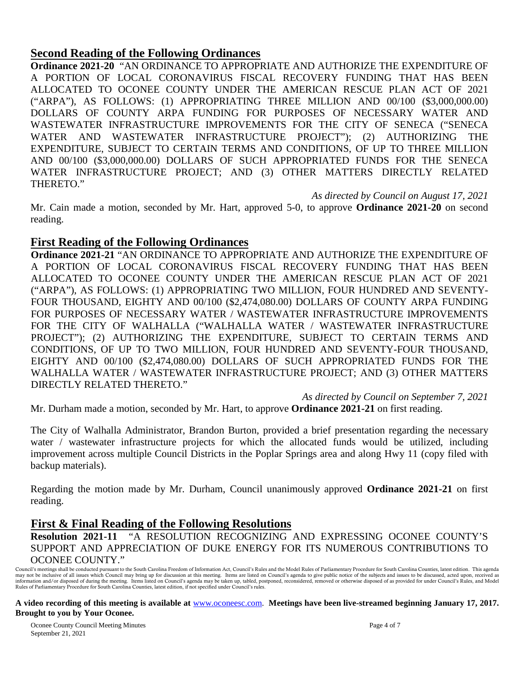## **Second Reading of the Following Ordinances**

**Ordinance 2021-20** "AN ORDINANCE TO APPROPRIATE AND AUTHORIZE THE EXPENDITURE OF A PORTION OF LOCAL CORONAVIRUS FISCAL RECOVERY FUNDING THAT HAS BEEN ALLOCATED TO OCONEE COUNTY UNDER THE AMERICAN RESCUE PLAN ACT OF 2021 ("ARPA"), AS FOLLOWS: (1) APPROPRIATING THREE MILLION AND 00/100 (\$3,000,000.00) DOLLARS OF COUNTY ARPA FUNDING FOR PURPOSES OF NECESSARY WATER AND WASTEWATER INFRASTRUCTURE IMPROVEMENTS FOR THE CITY OF SENECA ("SENECA WATER AND WASTEWATER INFRASTRUCTURE PROJECT"); (2) AUTHORIZING THE EXPENDITURE, SUBJECT TO CERTAIN TERMS AND CONDITIONS, OF UP TO THREE MILLION AND 00/100 (\$3,000,000.00) DOLLARS OF SUCH APPROPRIATED FUNDS FOR THE SENECA WATER INFRASTRUCTURE PROJECT; AND (3) OTHER MATTERS DIRECTLY RELATED THERETO."

*As directed by Council on August 17, 2021*

Mr. Cain made a motion, seconded by Mr. Hart, approved 5-0, to approve **Ordinance 2021-20** on second reading.

#### **First Reading of the Following Ordinances**

**Ordinance 2021-21** "AN ORDINANCE TO APPROPRIATE AND AUTHORIZE THE EXPENDITURE OF A PORTION OF LOCAL CORONAVIRUS FISCAL RECOVERY FUNDING THAT HAS BEEN ALLOCATED TO OCONEE COUNTY UNDER THE AMERICAN RESCUE PLAN ACT OF 2021 ("ARPA"), AS FOLLOWS: (1) APPROPRIATING TWO MILLION, FOUR HUNDRED AND SEVENTY-FOUR THOUSAND, EIGHTY AND 00/100 (\$2,474,080.00) DOLLARS OF COUNTY ARPA FUNDING FOR PURPOSES OF NECESSARY WATER / WASTEWATER INFRASTRUCTURE IMPROVEMENTS FOR THE CITY OF WALHALLA ("WALHALLA WATER / WASTEWATER INFRASTRUCTURE PROJECT"); (2) AUTHORIZING THE EXPENDITURE, SUBJECT TO CERTAIN TERMS AND CONDITIONS, OF UP TO TWO MILLION, FOUR HUNDRED AND SEVENTY-FOUR THOUSAND, EIGHTY AND 00/100 (\$2,474,080.00) DOLLARS OF SUCH APPROPRIATED FUNDS FOR THE WALHALLA WATER / WASTEWATER INFRASTRUCTURE PROJECT; AND (3) OTHER MATTERS DIRECTLY RELATED THERETO."

*As directed by Council on September 7, 2021*

Mr. Durham made a motion, seconded by Mr. Hart, to approve **Ordinance 2021-21** on first reading.

The City of Walhalla Administrator, Brandon Burton, provided a brief presentation regarding the necessary water / wastewater infrastructure projects for which the allocated funds would be utilized, including improvement across multiple Council Districts in the Poplar Springs area and along Hwy 11 (copy filed with backup materials).

Regarding the motion made by Mr. Durham, Council unanimously approved **Ordinance 2021-21** on first reading.

#### **First & Final Reading of the Following Resolutions**

**Resolution 2021-11** "A RESOLUTION RECOGNIZING AND EXPRESSING OCONEE COUNTY'S SUPPORT AND APPRECIATION OF DUKE ENERGY FOR ITS NUMEROUS CONTRIBUTIONS TO OCONEE COUNTY."

**A video recording of this meeting is available at** [www.oconeesc.com.](http://www.oconeesc.com/) **Meetings have been live-streamed beginning January 17, 2017. Brought to you by Your Oconee.**

Council's meetings shall be conducted pursuant to the South Carolina Freedom of Information Act, Council's Rules and the Model Rules of Parliamentary Procedure for South Carolina Counties, latest edition. This agenda may not be inclusive of all issues which Council may bring up for discussion at this meeting. Items are listed on Council's agenda to give public notice of the subjects and issues to be discussed, acted upon, received as<br>i Rules of Parliamentary Procedure for South Carolina Counties, latest edition, if not specified under Council's rules.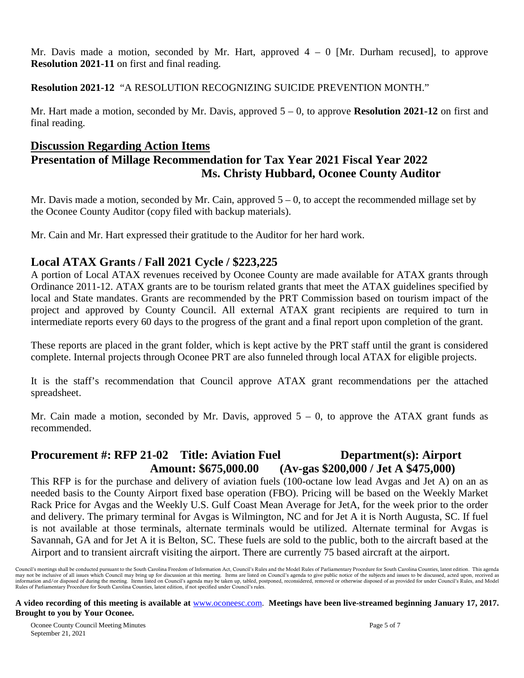Mr. Davis made a motion, seconded by Mr. Hart, approved  $4 - 0$  [Mr. Durham recused], to approve **Resolution 2021-11** on first and final reading.

**Resolution 2021-12** "A RESOLUTION RECOGNIZING SUICIDE PREVENTION MONTH."

Mr. Hart made a motion, seconded by Mr. Davis, approved 5 – 0, to approve **Resolution 2021-12** on first and final reading.

## **Discussion Regarding Action Items**

# **Presentation of Millage Recommendation for Tax Year 2021 Fiscal Year 2022 Ms. Christy Hubbard, Oconee County Auditor**

Mr. Davis made a motion, seconded by Mr. Cain, approved  $5 - 0$ , to accept the recommended millage set by the Oconee County Auditor (copy filed with backup materials).

Mr. Cain and Mr. Hart expressed their gratitude to the Auditor for her hard work.

# **Local ATAX Grants / Fall 2021 Cycle / \$223,225**

A portion of Local ATAX revenues received by Oconee County are made available for ATAX grants through Ordinance 2011-12. ATAX grants are to be tourism related grants that meet the ATAX guidelines specified by local and State mandates. Grants are recommended by the PRT Commission based on tourism impact of the project and approved by County Council. All external ATAX grant recipients are required to turn in intermediate reports every 60 days to the progress of the grant and a final report upon completion of the grant.

These reports are placed in the grant folder, which is kept active by the PRT staff until the grant is considered complete. Internal projects through Oconee PRT are also funneled through local ATAX for eligible projects.

It is the staff's recommendation that Council approve ATAX grant recommendations per the attached spreadsheet.

Mr. Cain made a motion, seconded by Mr. Davis, approved  $5 - 0$ , to approve the ATAX grant funds as recommended.

# **Procurement #: RFP 21-02 Title: Aviation Fuel Department(s): Airport Amount: \$675,000.00 (Av-gas \$200,000 / Jet A \$475,000)**

This RFP is for the purchase and delivery of aviation fuels (100-octane low lead Avgas and Jet A) on an as needed basis to the County Airport fixed base operation (FBO). Pricing will be based on the Weekly Market Rack Price for Avgas and the Weekly U.S. Gulf Coast Mean Average for JetA, for the week prior to the order and delivery. The primary terminal for Avgas is Wilmington, NC and for Jet A it is North Augusta, SC. If fuel is not available at those terminals, alternate terminals would be utilized. Alternate terminal for Avgas is Savannah, GA and for Jet A it is Belton, SC. These fuels are sold to the public, both to the aircraft based at the Airport and to transient aircraft visiting the airport. There are currently 75 based aircraft at the airport.

#### **A video recording of this meeting is available at** [www.oconeesc.com.](http://www.oconeesc.com/) **Meetings have been live-streamed beginning January 17, 2017. Brought to you by Your Oconee.**

Council's meetings shall be conducted pursuant to the South Carolina Freedom of Information Act, Council's Rules and the Model Rules of Parliamentary Procedure for South Carolina Counties, latest edition. This agenda may not be inclusive of all issues which Council may bring up for discussion at this meeting. Items are listed on Council's agenda to give public notice of the subjects and issues to be discussed, acted upon, received as<br>i Rules of Parliamentary Procedure for South Carolina Counties, latest edition, if not specified under Council's rules.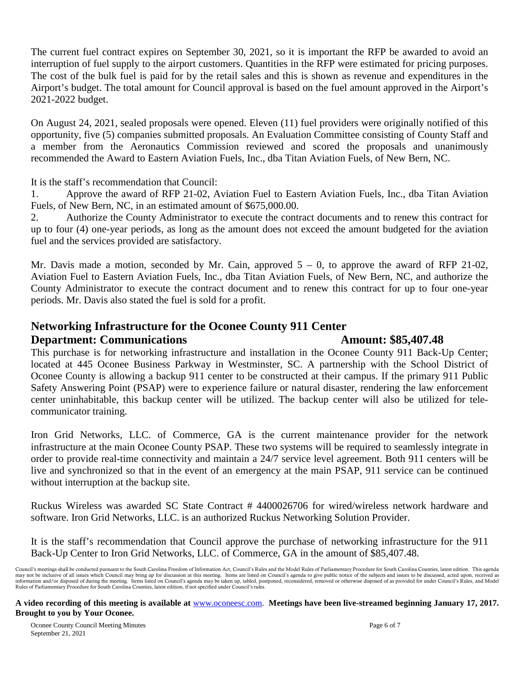The current fuel contract expires on September 30, 2021, so it is important the RFP be awarded to avoid an interruption of fuel supply to the airport customers. Quantities in the RFP were estimated for pricing purposes. The cost of the bulk fuel is paid for by the retail sales and this is shown as revenue and expenditures in the Airport's budget. The total amount for Council approval is based on the fuel amount approved in the Airport's 2021-2022 budget.

On August 24, 2021, sealed proposals were opened. Eleven (11) fuel providers were originally notified of this opportunity, five (5) companies submitted proposals. An Evaluation Committee consisting of County Staff and a member from the Aeronautics Commission reviewed and scored the proposals and unanimously recommended the Award to Eastern Aviation Fuels, Inc., dba Titan Aviation Fuels, of New Bern, NC.

It is the staff's recommendation that Council:

1. Approve the award of RFP 21-02, Aviation Fuel to Eastern Aviation Fuels, Inc., dba Titan Aviation Fuels, of New Bern, NC, in an estimated amount of \$675,000.00.

2. Authorize the County Administrator to execute the contract documents and to renew this contract for up to four (4) one-year periods, as long as the amount does not exceed the amount budgeted for the aviation fuel and the services provided are satisfactory.

Mr. Davis made a motion, seconded by Mr. Cain, approved  $5 - 0$ , to approve the award of RFP 21-02, Aviation Fuel to Eastern Aviation Fuels, Inc., dba Titan Aviation Fuels, of New Bern, NC, and authorize the County Administrator to execute the contract document and to renew this contract for up to four one-year periods. Mr. Davis also stated the fuel is sold for a profit.

#### **Networking Infrastructure for the Oconee County 911 Center**

#### **Department: Communications Amount: \$85,407.48**

This purchase is for networking infrastructure and installation in the Oconee County 911 Back-Up Center; located at 445 Oconee Business Parkway in Westminster, SC. A partnership with the School District of Oconee County is allowing a backup 911 center to be constructed at their campus. If the primary 911 Public Safety Answering Point (PSAP) were to experience failure or natural disaster, rendering the law enforcement center uninhabitable, this backup center will be utilized. The backup center will also be utilized for telecommunicator training.

Iron Grid Networks, LLC. of Commerce, GA is the current maintenance provider for the network infrastructure at the main Oconee County PSAP. These two systems will be required to seamlessly integrate in order to provide real-time connectivity and maintain a 24/7 service level agreement. Both 911 centers will be live and synchronized so that in the event of an emergency at the main PSAP, 911 service can be continued without interruption at the backup site.

Ruckus Wireless was awarded SC State Contract # 4400026706 for wired/wireless network hardware and software. Iron Grid Networks, LLC. is an authorized Ruckus Networking Solution Provider.

It is the staff's recommendation that Council approve the purchase of networking infrastructure for the 911 Back-Up Center to Iron Grid Networks, LLC. of Commerce, GA in the amount of \$85,407.48.

Council's meetings shall be conducted pursuant to the South Carolina Freedom of Information Act, Council's Rules and the Model Rules of Parliamentary Procedure for South Carolina Counties, latest edition. This agenda may not be inclusive of all issues which Council may bring up for discussion at this meeting. Items are listed on Council's agenda to give public notice of the subjects and issues to be discussed, acted upon, received as<br>i Rules of Parliamentary Procedure for South Carolina Counties, latest edition, if not specified under Council's rules.

**A video recording of this meeting is available at** [www.oconeesc.com.](http://www.oconeesc.com/) **Meetings have been live-streamed beginning January 17, 2017. Brought to you by Your Oconee.**